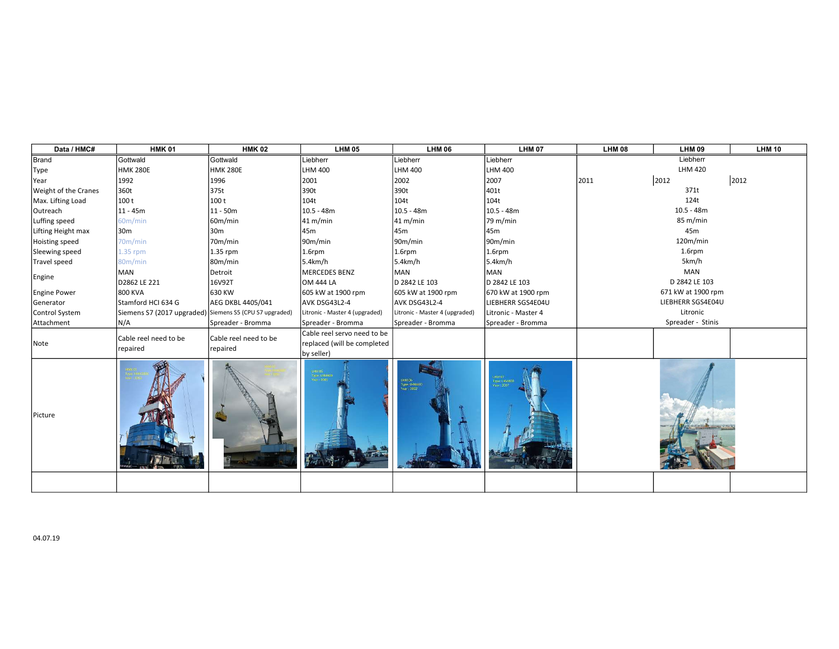| Data / HMC#                 | <b>HMK 01</b>                                           | <b>HMK 02</b>         | <b>LHM 05</b>                       | <b>LHM 06</b>                          | <b>LHM 07</b>       | <b>LHM 08</b>     | LHM 09             | <b>LHM 10</b> |
|-----------------------------|---------------------------------------------------------|-----------------------|-------------------------------------|----------------------------------------|---------------------|-------------------|--------------------|---------------|
| Brand                       | Gottwald                                                | Gottwald              | Liebherr                            | Liebherr                               | Liebherr            | Liebherr          |                    |               |
| Type                        | <b>Інмк 280E</b>                                        | <b>HMK 280E</b>       | <b>LHM 400</b>                      | LHM 400                                | <b>LHM 400</b>      |                   | LHM 420            |               |
| Year                        | 1992                                                    | 1996                  | 2001                                | 2002                                   | 2007                | 2011              | 2012               | 2012          |
| <b>Weight of the Cranes</b> | 360t                                                    | 375t                  | 390t                                | 390t                                   | 401t                |                   | 371t               |               |
| Max. Lifting Load           | 100 t                                                   | 100 t                 | 104t                                | 104t                                   | 104t                | 124t              |                    |               |
| Outreach                    | $11 - 45m$                                              | $11 - 50m$            | $10.5 - 48m$                        | 10.5 - 48m                             | $10.5 - 48m$        | $10.5 - 48m$      |                    |               |
| Luffing speed               | 60m/min                                                 | 60m/min               | 41 m/min                            | 41 m/min                               | 79 m/min            |                   | 85 m/min           |               |
| Lifting Height max          | 30 <sub>m</sub>                                         | 30 <sub>m</sub>       | 45m                                 | 45m                                    | 45m                 |                   | 45 <sub>m</sub>    |               |
| Hoisting speed              | 70m/min                                                 | 70m/min               | 90m/min                             | 90m/min                                | 90m/min             |                   | 120m/min           |               |
| Sleewing speed              | 1.35 rpm                                                | 1.35 rpm              | 1.6rpm                              | 1.6rpm                                 | $1.6$ rpm           |                   | 1.6rpm             |               |
| Travel speed                | 80m/min                                                 | 80m/min               | 5.4km/h                             | 5.4km/h                                | 5.4km/h             |                   | 5km/h              |               |
| Engine                      | MAN                                                     | Detroit               | <b>MERCEDES BENZ</b>                | <b>MAN</b>                             | MAN                 |                   | MAN                |               |
|                             | D2862 LE 221                                            | 16V92T                | <b>OM 444 LA</b>                    | D 2842 LE 103                          | D 2842 LE 103       |                   | D 2842 LE 103      |               |
| Engine Power                | 800 KVA                                                 | 630 KW                | 605 kW at 1900 rpm                  | 605 kW at 1900 rpm                     | 670 kW at 1900 rpm  |                   | 671 kW at 1900 rpm |               |
| Generator                   | Stamford HCI 634 G                                      | AEG DKBL 4405/041     | AVK DSG43L2-4                       | AVK DSG43L2-4                          | LIEBHERR SGS4E04U   | LIEBHERR SGS4E04U |                    |               |
| Control System              | Siemens S7 (2017 upgraded) Siemens S5 (CPU S7 upgraded) |                       | Litronic - Master 4 (upgraded)      | Litronic - Master 4 (upgraded)         | Litronic - Master 4 |                   | Litronic           |               |
| Attachment                  | N/A                                                     | Spreader - Bromma     | Spreader - Bromma                   | Spreader - Bromma                      | Spreader - Bromma   |                   | Spreader - Stinis  |               |
| Note                        | Cable reel need to be                                   | Cable reel need to be | Cable reel servo need to be         |                                        |                     |                   |                    |               |
|                             | repaired                                                | repaired              | replaced (will be completed         |                                        |                     |                   |                    |               |
|                             |                                                         |                       | by seller)                          |                                        |                     |                   |                    |               |
| Picture                     |                                                         |                       | HM 05<br>Type: LHM400<br>Year: 2001 | LHM 06<br>Type: LHM400<br>Year ( 2002) | voe: LHM400         |                   |                    |               |
|                             |                                                         |                       |                                     |                                        |                     |                   |                    |               |